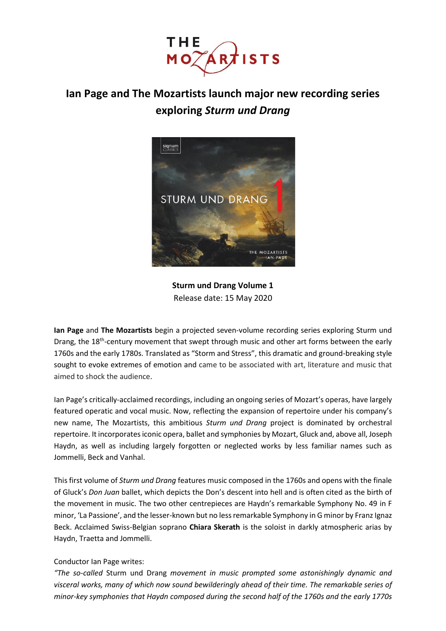

# **Ian Page and The Mozartists launch major new recording series exploring** *Sturm und Drang*



**Sturm und Drang Volume 1** Release date: 15 May 2020

**Ian Page** and **The Mozartists** begin a projected seven-volume recording series exploring Sturm und Drang, the 18<sup>th</sup>-century movement that swept through music and other art forms between the early 1760s and the early 1780s. Translated as "Storm and Stress", this dramatic and ground-breaking style sought to evoke extremes of emotion and came to be associated with art, literature and music that aimed to shock the audience.

Ian Page's critically-acclaimed recordings, including an ongoing series of Mozart's operas, have largely featured operatic and vocal music. Now, reflecting the expansion of repertoire under his company's new name, The Mozartists, this ambitious *Sturm und Drang* project is dominated by orchestral repertoire. It incorporates iconic opera, ballet and symphonies by Mozart, Gluck and, above all, Joseph Haydn, as well as including largely forgotten or neglected works by less familiar names such as Jommelli, Beck and Vanhal.

This first volume of *Sturm und Drang* features music composed in the 1760s and opens with the finale of Gluck's *Don Juan* ballet, which depicts the Don's descent into hell and is often cited as the birth of the movement in music. The two other centrepieces are Haydn's remarkable Symphony No. 49 in F minor, 'La Passione', and the lesser-known but no less remarkable Symphony in G minor by Franz Ignaz Beck. Acclaimed Swiss-Belgian soprano **Chiara Skerath** is the soloist in darkly atmospheric arias by Haydn, Traetta and Jommelli.

# Conductor Ian Page writes:

*"The so-called* Sturm und Drang *movement in music prompted some astonishingly dynamic and visceral works, many of which now sound bewilderingly ahead of their time. The remarkable series of minor-key symphonies that Haydn composed during the second half of the 1760s and the early 1770s*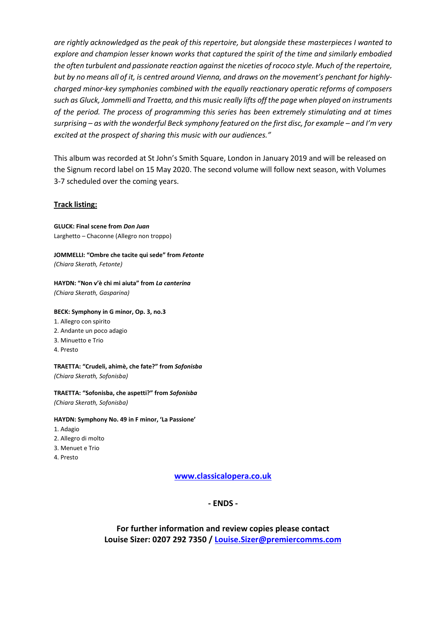*are rightly acknowledged as the peak of this repertoire, but alongside these masterpieces I wanted to explore and champion lesser known works that captured the spirit of the time and similarly embodied the often turbulent and passionate reaction against the niceties of rococo style. Much of the repertoire, but by no means all of it, is centred around Vienna, and draws on the movement's penchant for highlycharged minor-key symphonies combined with the equally reactionary operatic reforms of composers such as Gluck, Jommelli and Traetta, and this music really lifts off the page when played on instruments of the period. The process of programming this series has been extremely stimulating and at times surprising* – as with the wonderful Beck symphony featured on the first disc, for example – and I'm very *excited at the prospect of sharing this music with our audiences."*

This album was recorded at St John's Smith Square, London in January 2019 and will be released on the Signum record label on 15 May 2020. The second volume will follow next season, with Volumes 3-7 scheduled over the coming years.

#### **Track listing:**

**GLUCK: Final scene from** *Don Juan* Larghetto – Chaconne (Allegro non troppo)

**JOMMELLI: "Ombre che tacite qui sede" from** *Fetonte (Chiara Skerath, Fetonte)*

**HAYDN: "Non v'è chi mi aiuta" from** *La canterina (Chiara Skerath, Gasparina)*

#### **BECK: Symphony in G minor, Op. 3, no.3**

1. Allegro con spirito 2. Andante un poco adagio 3. Minuetto e Trio 4. Presto

**TRAETTA: "Crudeli, ahimè, che fate?" from** *Sofonisba (Chiara Skerath, Sofonisba)*

**TRAETTA: "Sofonisba, che aspetti?" from** *Sofonisba (Chiara Skerath, Sofonisba)*

**HAYDN: Symphony No. 49 in F minor, 'La Passione'**

- 1. Adagio
- 2. Allegro di molto
- 3. Menuet e Trio
- 4. Presto

**[www.classicalopera.co.uk](http://www.classicalopera.co.uk/)**

**- ENDS -**

**For further information and review copies please contact Louise Sizer: 0207 292 7350 / [Louise.Sizer@premiercomms.com](mailto:Louise.Sizer@premiercomms.com)**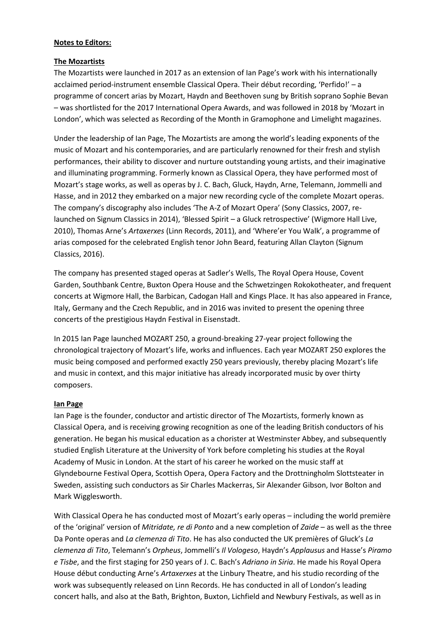### **Notes to Editors:**

## **The Mozartists**

The Mozartists were launched in 2017 as an extension of Ian Page's work with his internationally acclaimed period-instrument ensemble Classical Opera. Their début recording, 'Perfido!' – a programme of concert arias by Mozart, Haydn and Beethoven sung by British soprano Sophie Bevan – was shortlisted for the 2017 International Opera Awards, and was followed in 2018 by 'Mozart in London', which was selected as Recording of the Month in Gramophone and Limelight magazines.

Under the leadership of Ian Page, The Mozartists are among the world's leading exponents of the music of Mozart and his contemporaries, and are particularly renowned for their fresh and stylish performances, their ability to discover and nurture outstanding young artists, and their imaginative and illuminating programming. Formerly known as Classical Opera, they have performed most of Mozart's stage works, as well as operas by J. C. Bach, Gluck, Haydn, Arne, Telemann, Jommelli and Hasse, and in 2012 they embarked on a major new recording cycle of the complete Mozart operas. The company's discography also includes 'The A-Z of Mozart Opera' (Sony Classics, 2007, relaunched on Signum Classics in 2014), 'Blessed Spirit – a Gluck retrospective' (Wigmore Hall Live, 2010), Thomas Arne's *Artaxerxes* (Linn Records, 2011), and 'Where'er You Walk', a programme of arias composed for the celebrated English tenor John Beard, featuring Allan Clayton (Signum Classics, 2016).

The company has presented staged operas at Sadler's Wells, The Royal Opera House, Covent Garden, Southbank Centre, Buxton Opera House and the Schwetzingen Rokokotheater, and frequent concerts at Wigmore Hall, the Barbican, Cadogan Hall and Kings Place. It has also appeared in France, Italy, Germany and the Czech Republic, and in 2016 was invited to present the opening three concerts of the prestigious Haydn Festival in Eisenstadt.

In 2015 Ian Page launched MOZART 250, a ground-breaking 27-year project following the chronological trajectory of Mozart's life, works and influences. Each year MOZART 250 explores the music being composed and performed exactly 250 years previously, thereby placing Mozart's life and music in context, and this major initiative has already incorporated music by over thirty composers.

#### **Ian Page**

Ian Page is the founder, conductor and artistic director of The Mozartists, formerly known as Classical Opera, and is receiving growing recognition as one of the leading British conductors of his generation. He began his musical education as a chorister at Westminster Abbey, and subsequently studied English Literature at the University of York before completing his studies at the Royal Academy of Music in London. At the start of his career he worked on the music staff at Glyndebourne Festival Opera, Scottish Opera, Opera Factory and the Drottningholm Slottsteater in Sweden, assisting such conductors as Sir Charles Mackerras, Sir Alexander Gibson, Ivor Bolton and Mark Wigglesworth.

With Classical Opera he has conducted most of Mozart's early operas – including the world première of the 'original' version of *Mitridate, re di Ponto* and a new completion of *Zaide* – as well as the three Da Ponte operas and *La clemenza di Tito*. He has also conducted the UK premières of Gluck's *La clemenza di Tito*, Telemann's *Orpheus*, Jommelli's *Il Vologeso*, Haydn's *Applausus* and Hasse's *Piramo e Tisbe*, and the first staging for 250 years of J. C. Bach's *Adriano in Siria*. He made his Royal Opera House début conducting Arne's *Artaxerxes* at the Linbury Theatre, and his studio recording of the work was subsequently released on Linn Records. He has conducted in all of London's leading concert halls, and also at the Bath, Brighton, Buxton, Lichfield and Newbury Festivals, as well as in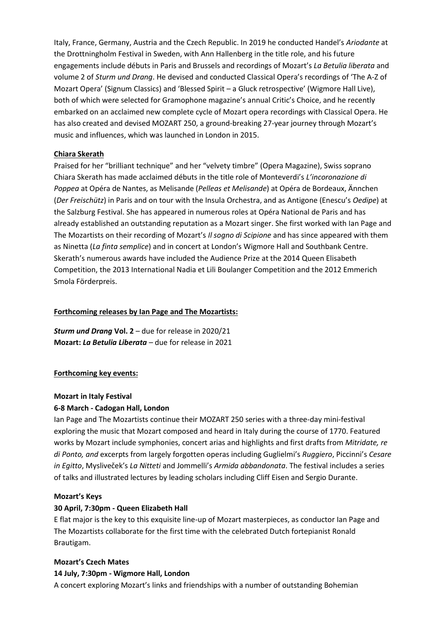Italy, France, Germany, Austria and the Czech Republic. In 2019 he conducted Handel's *Ariodante* at the Drottningholm Festival in Sweden, with Ann Hallenberg in the title role, and his future engagements include débuts in Paris and Brussels and recordings of Mozart's *La Betulia liberata* and volume 2 of *Sturm und Drang*. He devised and conducted Classical Opera's recordings of 'The A-Z of Mozart Opera' (Signum Classics) and 'Blessed Spirit – a Gluck retrospective' (Wigmore Hall Live), both of which were selected for Gramophone magazine's annual Critic's Choice, and he recently embarked on an acclaimed new complete cycle of Mozart opera recordings with Classical Opera. He has also created and devised MOZART 250, a ground-breaking 27-year journey through Mozart's music and influences, which was launched in London in 2015.

#### **Chiara Skerath**

Praised for her "brilliant technique" and her "velvety timbre" (Opera Magazine), Swiss soprano Chiara Skerath has made acclaimed débuts in the title role of Monteverdi's *L'incoronazione di Poppea* at Opéra de Nantes, as Melisande (*Pelleas et Melisande*) at Opéra de Bordeaux, Ännchen (*Der Freischütz*) in Paris and on tour with the Insula Orchestra, and as Antigone (Enescu's *Oedipe*) at the Salzburg Festival. She has appeared in numerous roles at Opéra National de Paris and has already established an outstanding reputation as a Mozart singer. She first worked with Ian Page and The Mozartists on their recording of Mozart's *Il sogno di Scipione* and has since appeared with them as Ninetta (*La finta semplice*) and in concert at London's Wigmore Hall and Southbank Centre. Skerath's numerous awards have included the Audience Prize at the 2014 Queen Elisabeth Competition, the 2013 International Nadia et Lili Boulanger Competition and the 2012 Emmerich Smola Förderpreis.

#### **Forthcoming releases by Ian Page and The Mozartists:**

*Sturm und Drang* **Vol. 2** – due for release in 2020/21 **Mozart:** *La Betulia Liberata* – due for release in 2021

#### **Forthcoming key events:**

#### **Mozart in Italy Festival**

#### **6-8 March - Cadogan Hall, London**

Ian Page and The Mozartists continue their MOZART 250 series with a three-day mini-festival exploring the music that Mozart composed and heard in Italy during the course of 1770. Featured works by Mozart include symphonies, concert arias and highlights and first drafts from *Mitridate, re di Ponto, and* excerpts from largely forgotten operas including Guglielmi's *Ruggiero*, Piccinni's *Cesare in Egitto*, Mysliveček's *La Nitteti* and Jommelli's *Armida abbandonata*. The festival includes a series of talks and illustrated lectures by leading scholars including Cliff Eisen and Sergio Durante.

#### **Mozart's Keys**

#### **30 April, 7:30pm - Queen Elizabeth Hall**

E flat major is the key to this exquisite line-up of Mozart masterpieces, as conductor Ian Page and The Mozartists collaborate for the first time with the celebrated Dutch fortepianist Ronald Brautigam.

#### **Mozart's Czech Mates**

#### **14 July, 7:30pm - Wigmore Hall, London**

A concert exploring Mozart's links and friendships with a number of outstanding Bohemian